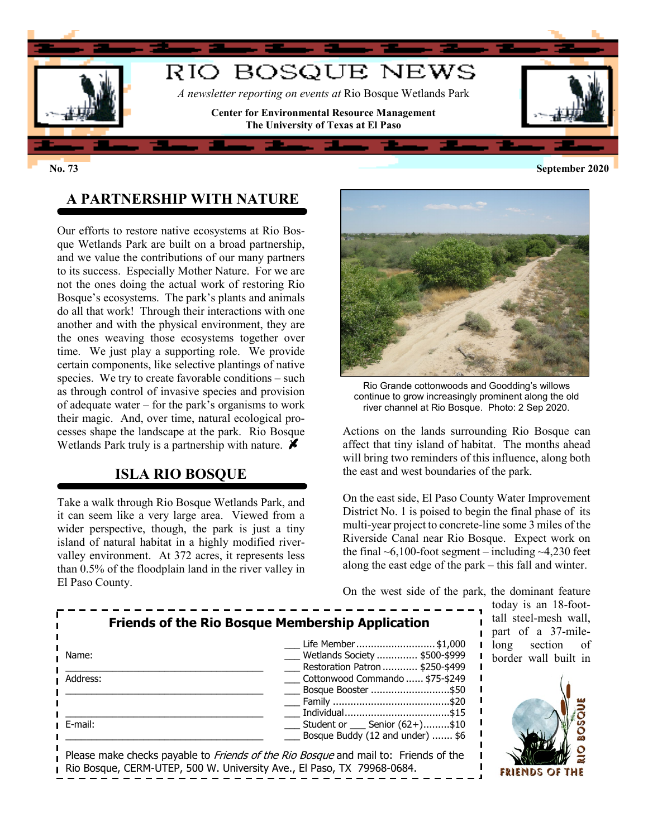

## **A PARTNERSHIP WITH NATURE**

Our efforts to restore native ecosystems at Rio Bosque Wetlands Park are built on a broad partnership, and we value the contributions of our many partners to its success. Especially Mother Nature. For we are not the ones doing the actual work of restoring Rio Bosque's ecosystems. The park's plants and animals do all that work! Through their interactions with one another and with the physical environment, they are the ones weaving those ecosystems together over time. We just play a supporting role. We provide certain components, like selective plantings of native species. We try to create favorable conditions – such as through control of invasive species and provision of adequate water – for the park's organisms to work their magic. And, over time, natural ecological processes shape the landscape at the park. Rio Bosque Wetlands Park truly is a partnership with nature.  $\blacktriangleright$ 

## **ISLA RIO BOSQUE**

Take a walk through Rio Bosque Wetlands Park, and it can seem like a very large area. Viewed from a wider perspective, though, the park is just a tiny island of natural habitat in a highly modified rivervalley environment. At 372 acres, it represents less than 0.5% of the floodplain land in the river valley in El Paso County.



Rio Grande cottonwoods and Goodding's willows continue to grow increasingly prominent along the old river channel at Rio Bosque. Photo: 2 Sep 2020.

Actions on the lands surrounding Rio Bosque can affect that tiny island of habitat. The months ahead will bring two reminders of this influence, along both the east and west boundaries of the park.

On the east side, El Paso County Water Improvement District No. 1 is poised to begin the final phase of its multi-year project to concrete-line some 3 miles of the Riverside Canal near Rio Bosque. Expect work on the final  $\sim 6,100$ -foot segment – including  $\sim 4,230$  feet along the east edge of the park – this fall and winter.

On the west side of the park, the dominant feature

| <b>Friends of the Rio Bosque Membership Application</b> |                                                                                            |
|---------------------------------------------------------|--------------------------------------------------------------------------------------------|
|                                                         | Life Member \$1,000                                                                        |
| Name:                                                   | Wetlands Society  \$500-\$999                                                              |
|                                                         | Restoration Patron \$250-\$499                                                             |
| Address:                                                | Cottonwood Commando  \$75-\$249                                                            |
|                                                         | Bosque Booster \$50                                                                        |
|                                                         |                                                                                            |
|                                                         |                                                                                            |
| ∎ E-mail:                                               | Student or ____ Senior (62+)\$10                                                           |
|                                                         | Bosque Buddy (12 and under)  \$6                                                           |
|                                                         |                                                                                            |
|                                                         | Please make checks payable to <i>Friends of the Rio Bosque</i> and mail to: Friends of the |
|                                                         | Rio Bosque, CERM-UTEP, 500 W. University Ave., El Paso, TX 79968-0684.                     |

today is an 18-foottall steel-mesh wall, part of a 37-milelong section of border wall built in